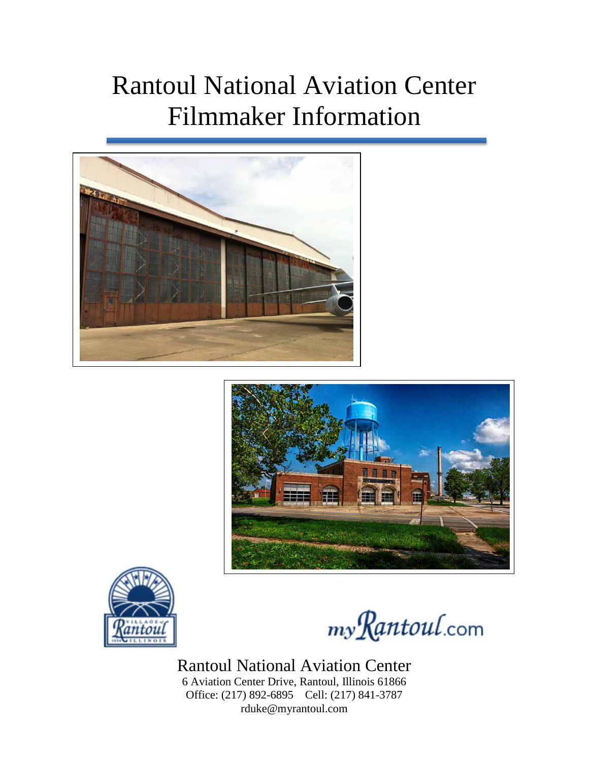## Rantoul National Aviation Center Filmmaker Information







my Rantoul.com

## Rantoul National Aviation Center

6 Aviation Center Drive, Rantoul, Illinois 61866 Office: (217) 892-6895 Cell: (217) 841-3787 rduke@myrantoul.com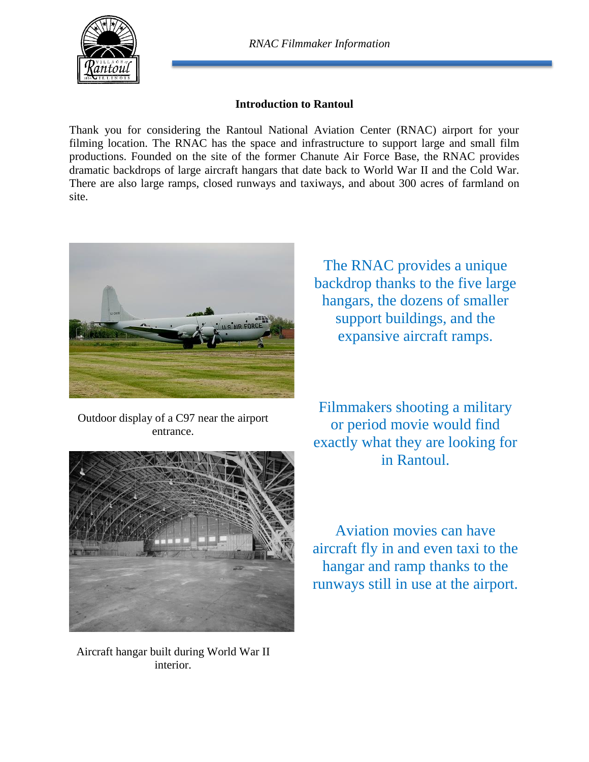

## **Introduction to Rantoul**

Thank you for considering the Rantoul National Aviation Center (RNAC) airport for your filming location. The RNAC has the space and infrastructure to support large and small film productions. Founded on the site of the former Chanute Air Force Base, the RNAC provides dramatic backdrops of large aircraft hangars that date back to World War II and the Cold War. There are also large ramps, closed runways and taxiways, and about 300 acres of farmland on site.



Outdoor display of a C97 near the airport entrance.



Aircraft hangar built during World War II interior.

The RNAC provides a unique backdrop thanks to the five large hangars, the dozens of smaller support buildings, and the expansive aircraft ramps.

Filmmakers shooting a military or period movie would find exactly what they are looking for in Rantoul.

Aviation movies can have aircraft fly in and even taxi to the hangar and ramp thanks to the runways still in use at the airport.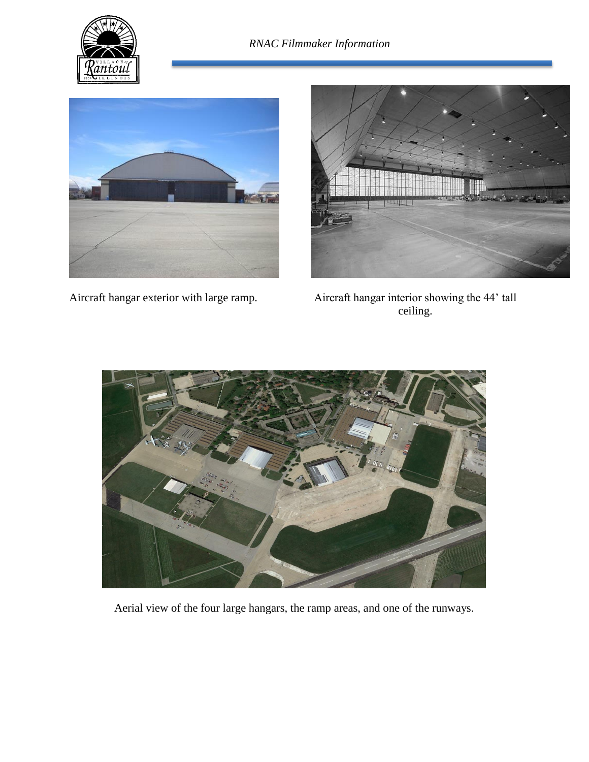





Aircraft hangar exterior with large ramp. Aircraft hangar interior showing the 44' tall ceiling.



Aerial view of the four large hangars, the ramp areas, and one of the runways.